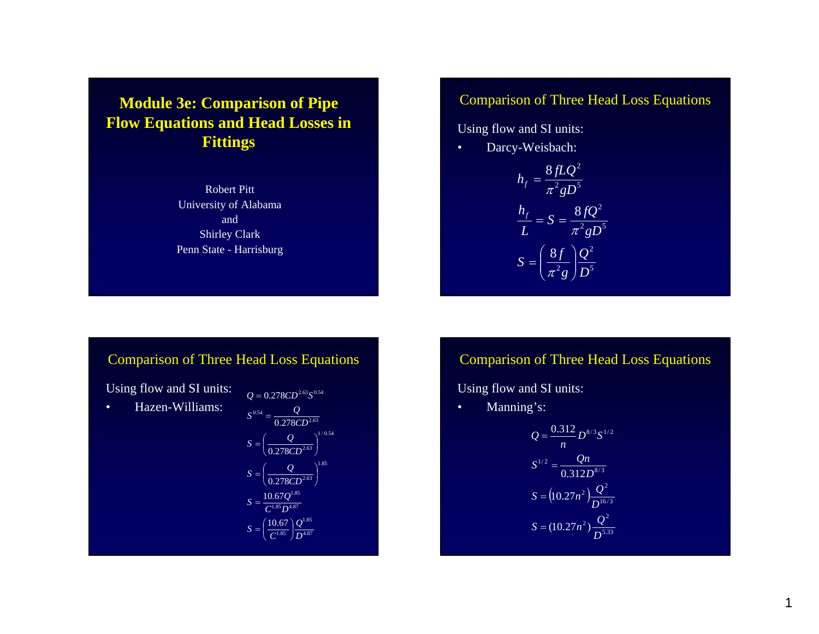**Module 3e: Comparison of Pipe Flow Equations and Head Losses in Fittings**

> Robert PittUniversity of Alabama and Shirley Clark Penn State - Harrisburg

### Comparison of Three Head Loss Equations

Using flow and SI units:

•Darcy-Weisbach:

$$
h_f = \frac{8fLQ^2}{\pi^2gD^5}
$$

$$
\frac{h_f}{L} = S = \frac{8fQ^2}{\pi^2gD^5}
$$

$$
S = \left(\frac{8f}{\pi^2g}\right)\frac{Q^2}{D^5}
$$

## Comparison of Three Head Loss Equations

Using flow and SI units:

•Hazen-Williams:

$$
Q = 0.278CD^{2.63}S^{0.54}
$$
  
\n
$$
S^{0.54} = \frac{Q}{0.278CD^{2.63}}
$$
  
\n
$$
S = \left(\frac{Q}{0.278CD^{2.63}}\right)^{1/0.54}
$$
  
\n
$$
S = \left(\frac{Q}{0.278CD^{2.63}}\right)^{1.85}
$$
  
\n
$$
S = \frac{10.67Q^{1.85}}{C^{1.85}D^{4.87}}
$$
  
\n
$$
S = \left(\frac{10.67}{C^{1.85}}\right)\frac{Q^{1.85}}{D^{4.87}}
$$

## Comparison of Three Head Loss Equations

Using flow and SI units:

•Manning's:

$$
Q = \frac{0.312}{n} D^{8/3} S^{1/2}
$$

$$
S^{1/2} = \frac{Qn}{0.312 D^{8/3}}
$$

$$
S = (10.27n^2) \frac{Q^2}{D^{16/3}}
$$

$$
S = (10.27n^2) \frac{Q^2}{D^{5.33}}
$$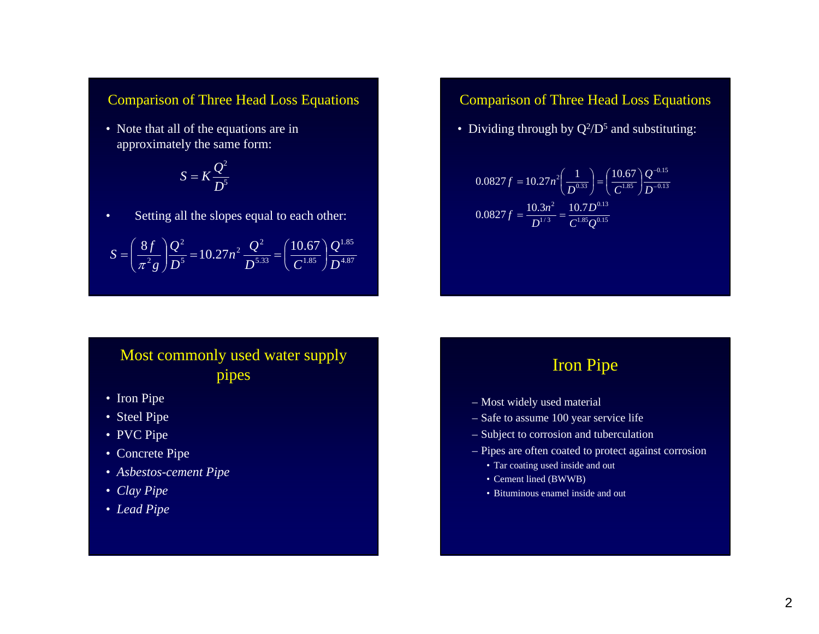#### Comparison of Three Head Loss Equations

• Note that all of the equations are in approximately the same form:

$$
S = K \frac{Q^2}{D^5}
$$

•Setting all the slopes equal to each other:

$$
S = \left(\frac{8f}{\pi^2 g}\right) \frac{Q^2}{D^5} = 10.27 n^2 \frac{Q^2}{D^{5.33}} = \left(\frac{10.67}{C^{1.85}}\right) \frac{Q^{1.85}}{D^{4.87}}
$$

#### Comparison of Three Head Loss Equations

• Dividing through by  $Q^2/D^5$  and substituting:

$$
0.0827 f = 10.27 n^2 \left(\frac{1}{D^{0.33}}\right) = \left(\frac{10.67}{C^{1.85}}\right) \frac{Q^{-0.15}}{D^{-0.13}}
$$

$$
0.0827 f = \frac{10.3 n^2}{D^{1/3}} = \frac{10.7 D^{0.13}}{C^{1.85} Q^{0.15}}
$$

# Most commonly used water supply pipes

- Iron Pipe
- Steel Pipe
- PVC Pipe
- Concrete Pipe
- *Asbestos-cement Pipe*
- *Clay Pipe*
- *Lead Pipe*

# Iron Pipe

- Most widely used material
- Safe to assume 100 year service life
- Subject to corrosion and tuberculation
- Pipes are often coated to protect against corrosion
	- Tar coating used inside and out
	- Cement lined (BWWB)
	- Bituminous enamel inside and out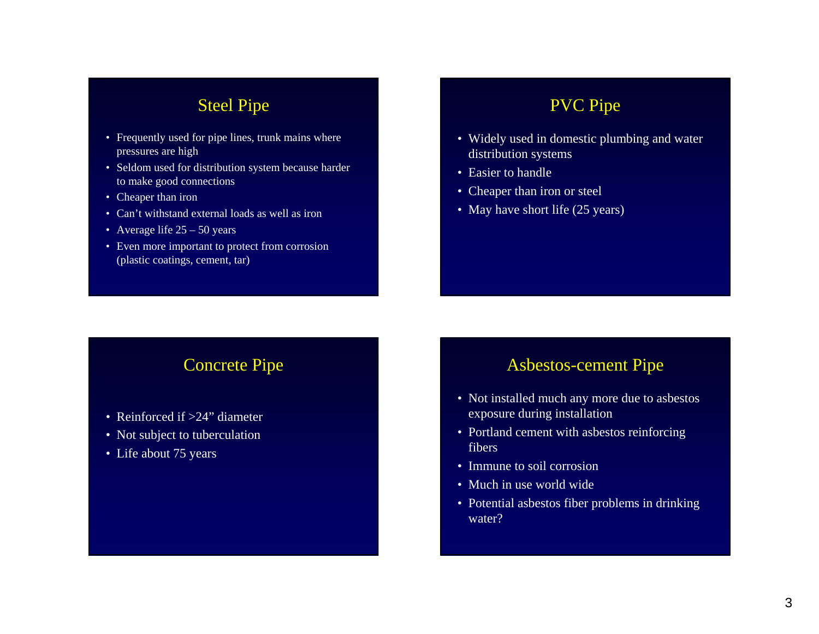## Steel Pipe

- Frequently used for pipe lines, trunk mains where pressures are high
- Seldom used for distribution system because harder to make good connections
- Cheaper than iron
- Can't withstand external loads as well as iron
- Average life 25 50 years
- Even more important to protect from corrosion (plastic coatings, cement, tar)

## PVC Pipe

- Widely used in domestic plumbing and water distribution systems
- Easier to handle
- Cheaper than iron or steel
- May have short life (25 years)

# Concrete Pipe

- Reinforced if >24" diameter
- Not subject to tuberculation
- Life about 75 years

## Asbestos-cement Pipe

- Not installed much any more due to asbestos exposure during installation
- Portland cement with asbestos reinforcing fibers
- Immune to soil corrosion
- Much in use world wide
- Potential asbestos fiber problems in drinking water?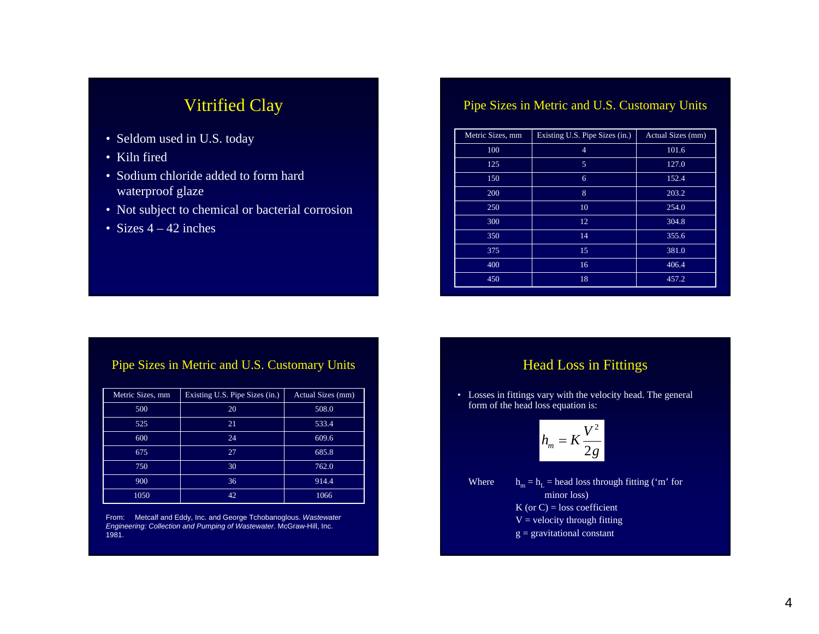# Vitrified Clay

- Seldom used in U.S. today
- Kiln fired
- Sodium chloride added to form hard waterproof glaze
- Not subject to chemical or bacterial corrosion
- Sizes 4 42 inches

#### Pipe Sizes in Metric and U.S. Customary Units

| Metric Sizes, mm | Existing U.S. Pipe Sizes (in.) | Actual Sizes (mm) |  |  |  |
|------------------|--------------------------------|-------------------|--|--|--|
| 100              | $\overline{4}$                 | 101.6             |  |  |  |
| 125              | 5                              | 127.0             |  |  |  |
| 150              | 6                              | 152.4             |  |  |  |
| 200              | 8                              | 203.2             |  |  |  |
| 250              | 10                             | 254.0             |  |  |  |
| 300              | 12                             | 304.8             |  |  |  |
| 350              | 14                             | 355.6             |  |  |  |
| 375              | 15                             | 381.0             |  |  |  |
| 400              | 16                             | 406.4             |  |  |  |
| 450              | 18                             | 457.2             |  |  |  |

#### Pipe Sizes in Metric and U.S. Customary Units

| Metric Sizes, mm | Existing U.S. Pipe Sizes (in.) | Actual Sizes (mm) |
|------------------|--------------------------------|-------------------|
| 500              | 20                             | 508.0             |
| 525              | 21                             | 533.4             |
| 600              | 24                             | 609.6             |
| 675              | 27                             | 685.8             |
| 750              | 30                             | 762.0             |
| 900              | 36                             | 914.4             |
| 1050             | 42                             | 1066              |

From: Metcalf and Eddy, Inc. and George Tchobanoglous. *Wastewater Engineering: Collection and Pumping of Wastewater*. McGraw-Hill, Inc. 1981.

### Head Loss in Fittings

• Losses in fittings vary with the velocity head. The general form of the head loss equation is:

$$
h_m = K \frac{V^2}{2g}
$$

Where  $h_m = h_L$  = head loss through fitting ('m' for minor loss) K (or  $C$ ) = loss coefficient  $V =$  velocity through fitting  $g =$  gravitational constant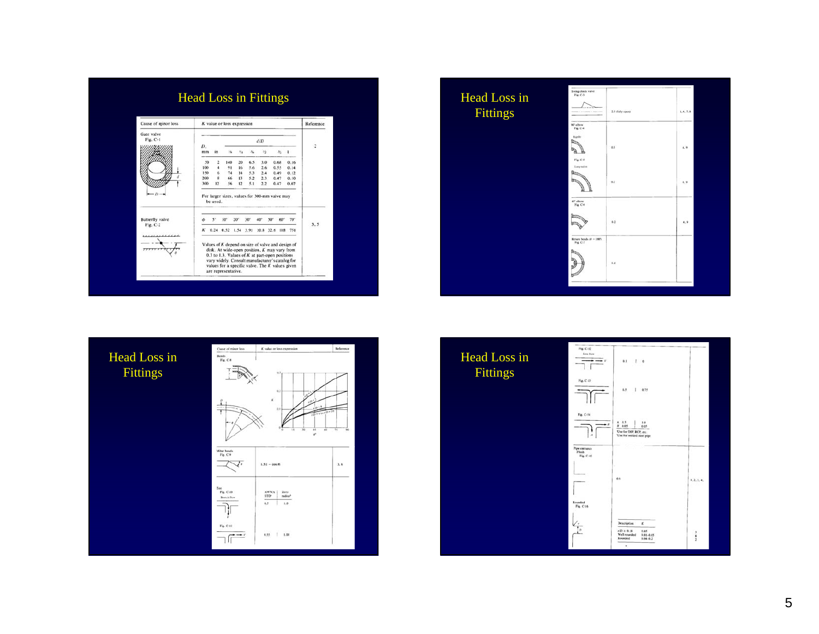| Cause of minor loss                              | K value or loss expression                                        |                |                     |              |                 |            |                                                                                                                                                                                                                                                             | Reference |     |
|--------------------------------------------------|-------------------------------------------------------------------|----------------|---------------------|--------------|-----------------|------------|-------------------------------------------------------------------------------------------------------------------------------------------------------------------------------------------------------------------------------------------------------------|-----------|-----|
| Gate valve                                       |                                                                   |                |                     |              |                 |            |                                                                                                                                                                                                                                                             |           |     |
| Fig. C-1                                         | D.                                                                |                |                     | d/D          |                 |            |                                                                                                                                                                                                                                                             | ÷.        |     |
|                                                  | mm                                                                | in             |                     | tú.          | XL              | 15         |                                                                                                                                                                                                                                                             |           |     |
|                                                  | 50                                                                | 2              | 140                 | 20           | 6.5             | 3.0        | 0.68                                                                                                                                                                                                                                                        | 0.16      |     |
|                                                  | 100                                                               | 4              | 91                  | 16           | 5.6             | 2.6        | 0.55                                                                                                                                                                                                                                                        | 0.14      |     |
|                                                  | 150                                                               | 6              | 74                  | 14           | 5.3             | 2.4        | 0.49                                                                                                                                                                                                                                                        | 0.12      |     |
|                                                  | 200<br>300                                                        | $\bf{8}$<br>12 | 66<br>56            | 13<br>12     | 5.2<br>5.1      | 2.3<br>2.2 | 0.47<br>0.47                                                                                                                                                                                                                                                | 0.10      |     |
|                                                  | 0.07<br>For larger sizes, values for 300-mm valve may<br>be used. |                |                     |              |                 |            |                                                                                                                                                                                                                                                             |           |     |
| <b>Butterfly</b> valve<br>Fig. C-2<br>,,,,,,,,,, |                                                                   | ç.             | 10 <sup>o</sup>     | $20^{\circ}$ | 30 <sup>°</sup> | 40°        | ser<br>60°                                                                                                                                                                                                                                                  | 70°       | 3.5 |
|                                                  |                                                                   |                |                     |              |                 |            | 0.24 0.52 1.54 3.91 10.8 32.6 118 751                                                                                                                                                                                                                       |           |     |
|                                                  |                                                                   |                | are representative. |              |                 |            | Values of K depend on size of valve and design of<br>disk. At wide-open position, K may vary from<br>0.3 to 1.3. Values of $K$ at part-open positions<br>vary widely. Consult manufacturer's catalog for<br>values for a specific valve. The K values given |           |     |